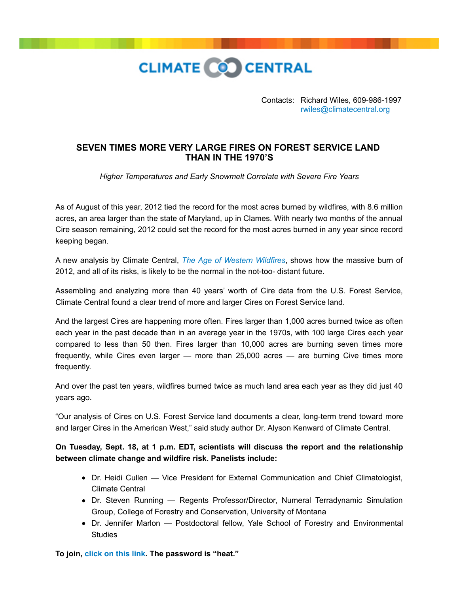

Contacts: Richard Wiles, 609-986-1997 [rwiles@climatecentral.org](mailto:rwiles@climatecentral.org)

## **SEVEN TIMES MORE VERY LARGE FIRES ON FOREST SERVICE LAND THAN IN THE 1970'S**

*Higher Temperatures and Early Snowmelt Correlate with Severe Fire Years*

As of August of this year, 2012 tied the record for the most acres burned by wildfires, with 8.6 million acres, an area larger than the state of Maryland, up in Clames. With nearly two months of the annual Cire season remaining, 2012 could set the record for the most acres burned in any year since record keeping began.

A new analysis by Climate Central, *[The Age of Western Wildfires](http://www.climatecentral.org/news/report-the-age-of-western-wildfires-14873)*, shows how the massive burn of 2012, and all of its risks, is likely to be the normal in the not-too- distant future.

Assembling and analyzing more than 40 years' worth of Cire data from the U.S. Forest Service, Climate Central found a clear trend of more and larger Cires on Forest Service land.

And the largest Cires are happening more often. Fires larger than 1,000 acres burned twice as often each year in the past decade than in an average year in the 1970s, with 100 large Cires each year compared to less than 50 then. Fires larger than 10,000 acres are burning seven times more frequently, while Cires even larger — more than 25,000 acres — are burning Cive times more frequently.

And over the past ten years, wildfires burned twice as much land area each year as they did just 40 years ago.

"Our analysis of Cires on U.S. Forest Service land documents a clear, long-term trend toward more and larger Cires in the American West," said study author Dr. Alyson Kenward of Climate Central.

**On Tuesday, Sept. 18, at 1 p.m. EDT, scientists will discuss the report and the relationship between climate change and wildfire risk. Panelists include:**

- Dr. Heidi Cullen Vice President for External Communication and Chief Climatologist, Climate Central
- Dr. Steven Running Regents Professor/Director, Numeral Terradynamic Simulation Group, College of Forestry and Conservation, University of Montana
- Dr. Jennifer Marlon Postdoctoral fellow, Yale School of Forestry and Environmental **Studies**

**To join, [click on this link.](https://climatenexus.webex.com/mw0401l/mywebex/default.do?nomenu=true&siteurl=climatenexus&service=6&rnd=0.9315439798137386&main_url=https%3A%2F%2Fclimatenexus.webex.com%2Fec0701l%2Feventcenter%2Fevent%2FeventAction.do%3FtheAction%3Ddetail%26confViewID%3D0%26%26MK%3D669394754%26%26%26siteurl%3Dclimatenexus) The password is "heat."**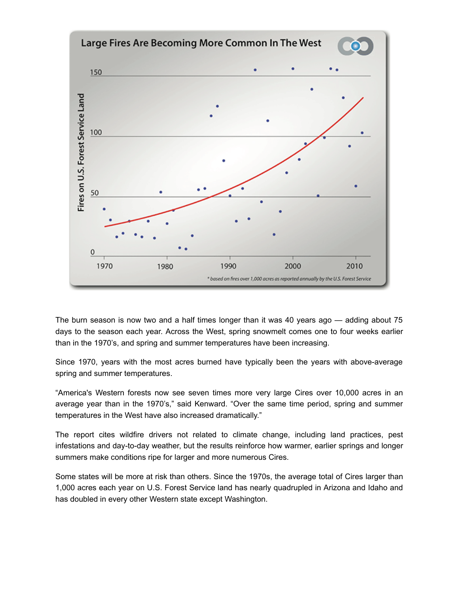

The burn season is now two and a half times longer than it was 40 years ago — adding about 75 days to the season each year. Across the West, spring snowmelt comes one to four weeks earlier than in the 1970's, and spring and summer temperatures have been increasing.

Since 1970, years with the most acres burned have typically been the years with above-average spring and summer temperatures.

"America's Western forests now see seven times more very large Cires over 10,000 acres in an average year than in the 1970's," said Kenward. "Over the same time period, spring and summer temperatures in the West have also increased dramatically."

The report cites wildfire drivers not related to climate change, including land practices, pest infestations and day-to-day weather, but the results reinforce how warmer, earlier springs and longer summers make conditions ripe for larger and more numerous Cires.

Some states will be more at risk than others. Since the 1970s, the average total of Cires larger than 1,000 acres each year on U.S. Forest Service land has nearly quadrupled in Arizona and Idaho and has doubled in every other Western state except Washington.